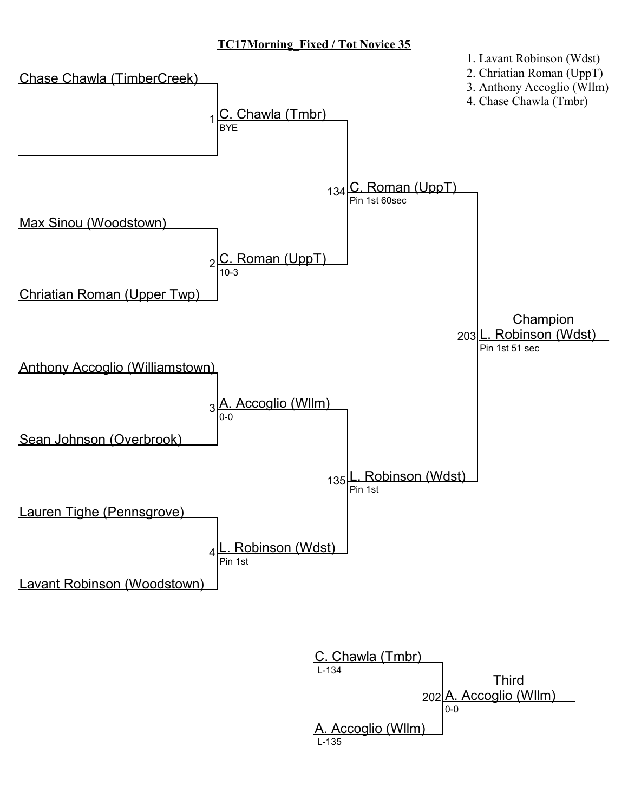## TC17Morning\_Fixed / Tot Novice 35



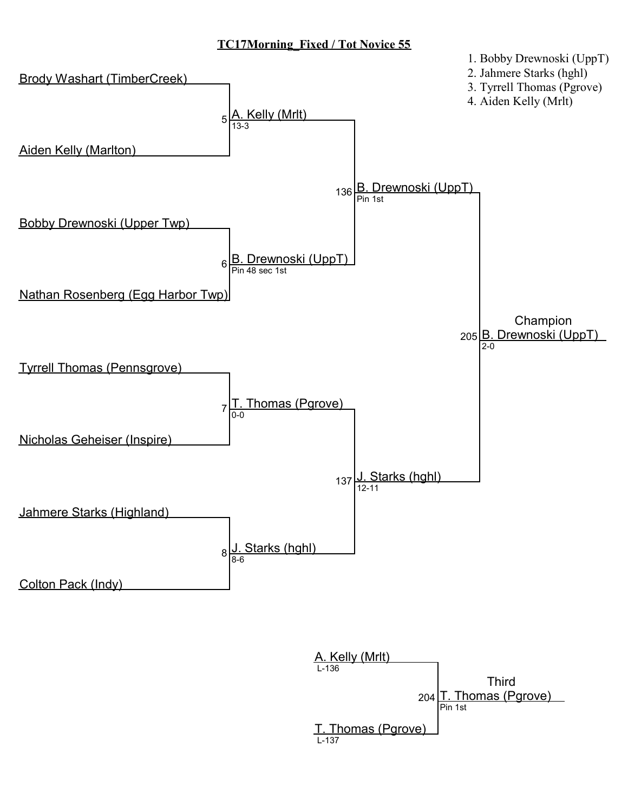#### TC17Morning\_Fixed / Tot Novice 55



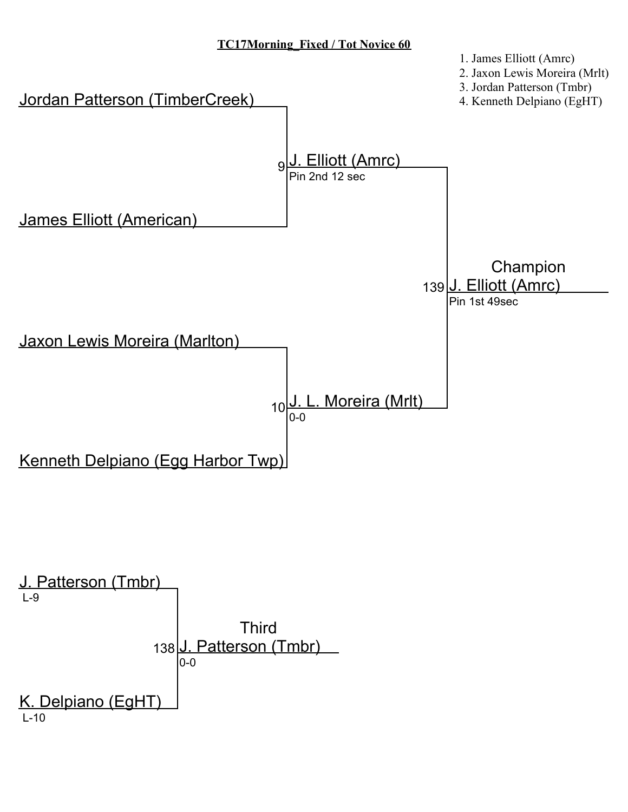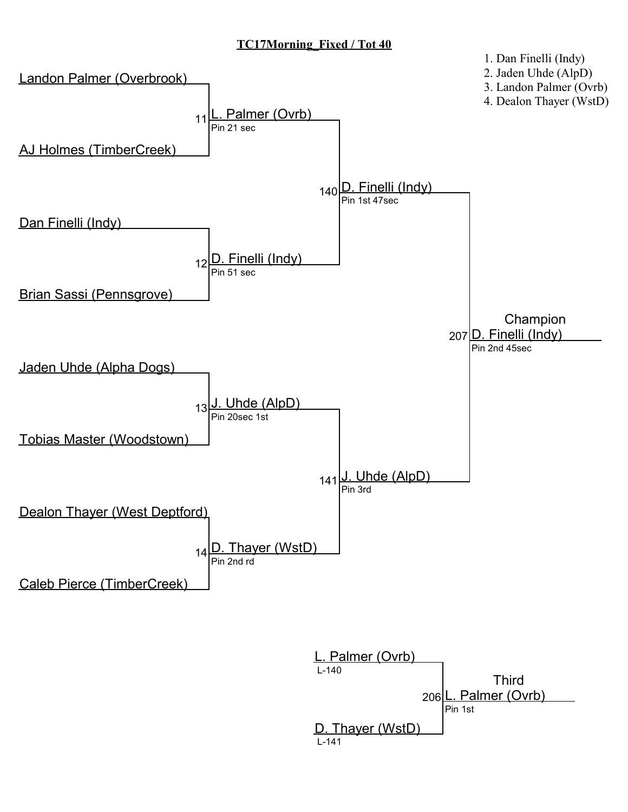# TC17Morning\_Fixed / Tot 40



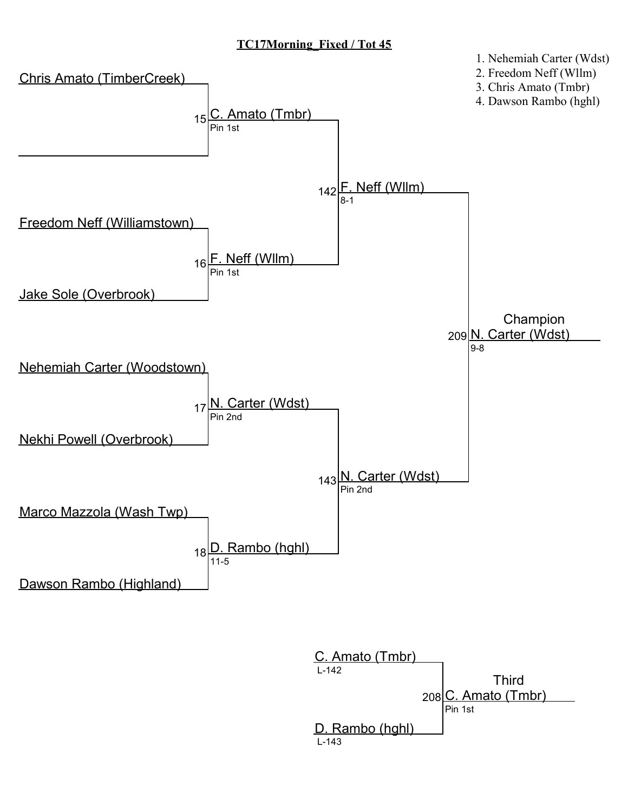# TC17Morning\_Fixed / Tot 45



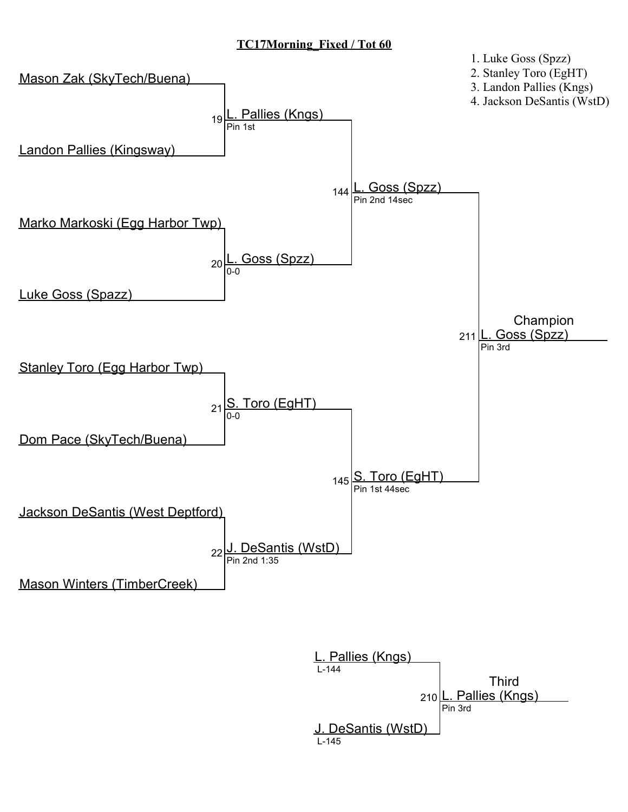## TC17Morning\_Fixed / Tot 60



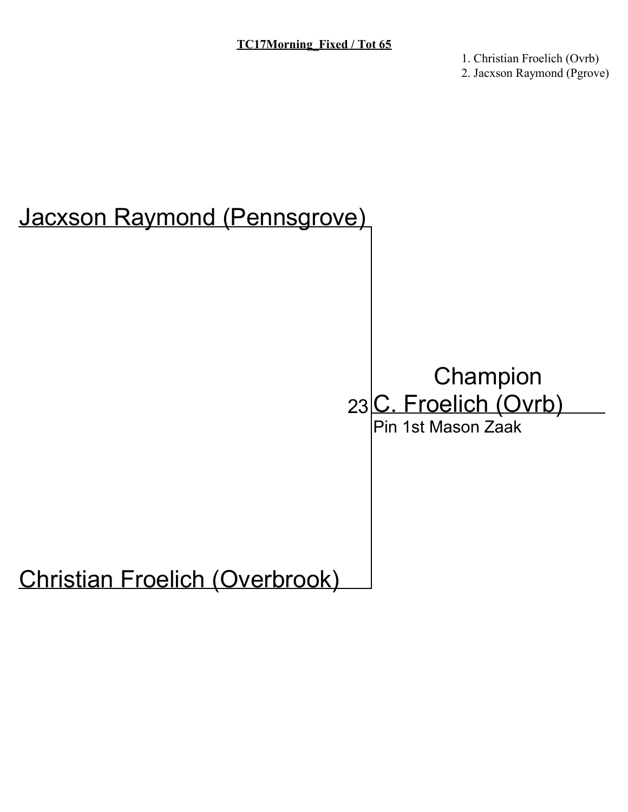1. Christian Froelich (Ovrb) 2. Jacxson Raymond (Pgrove)

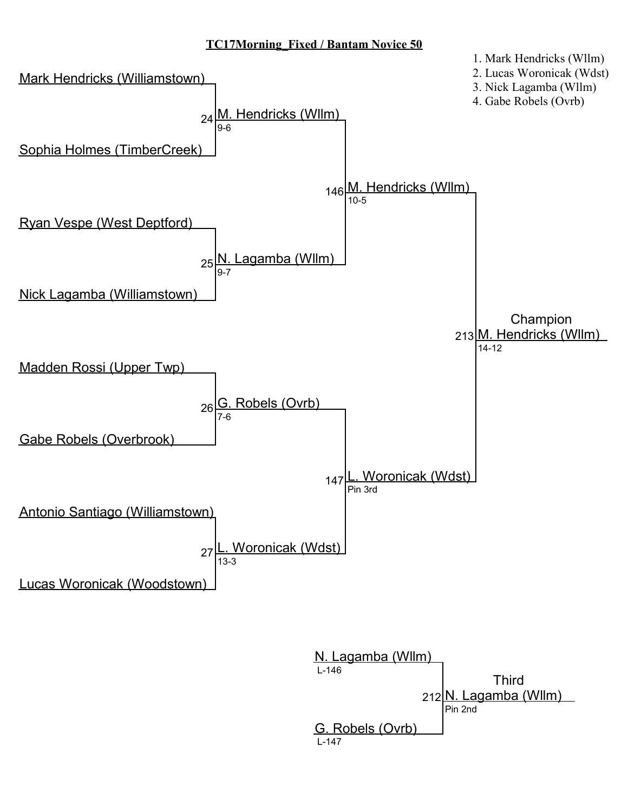

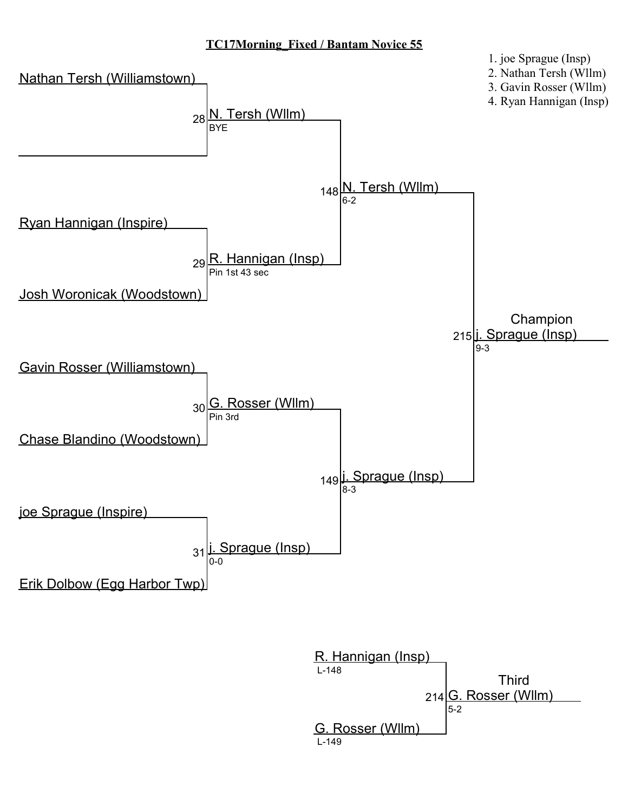

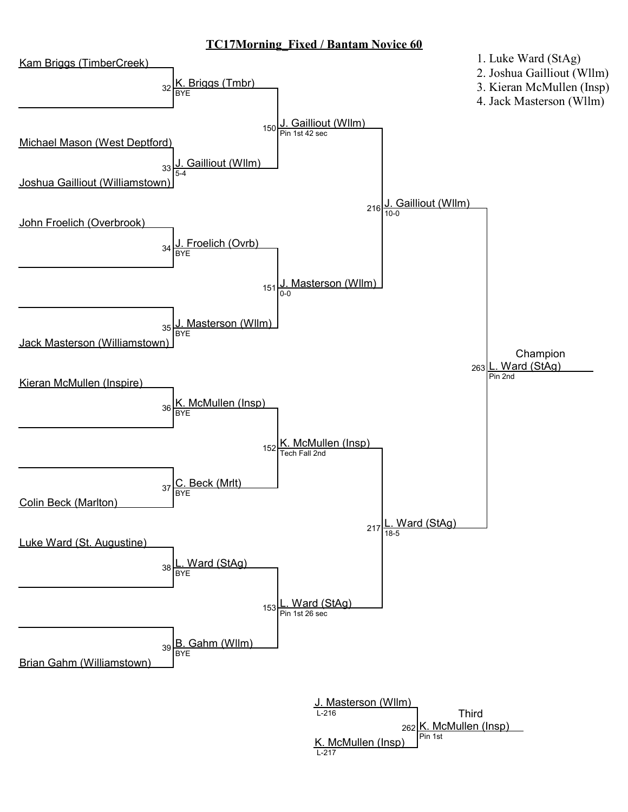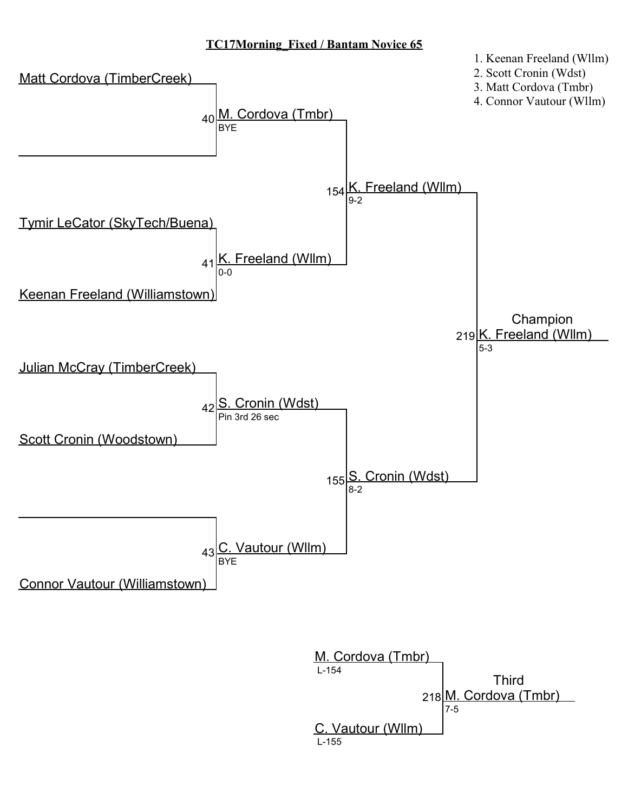

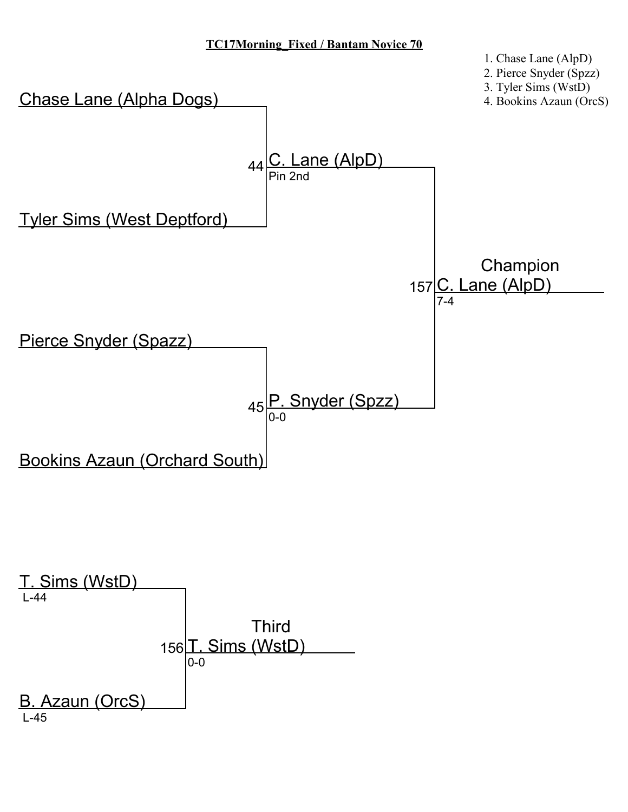

1. Chase Lane (AlpD)



L-45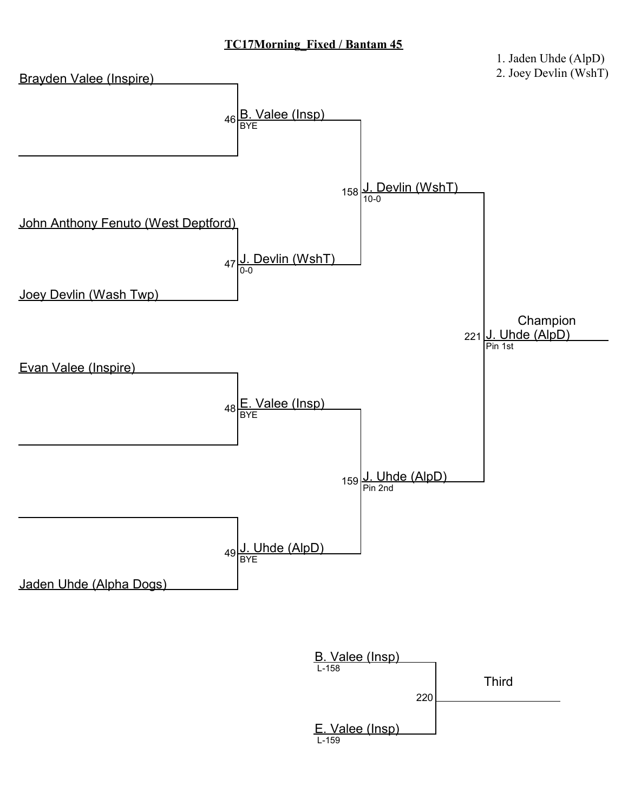

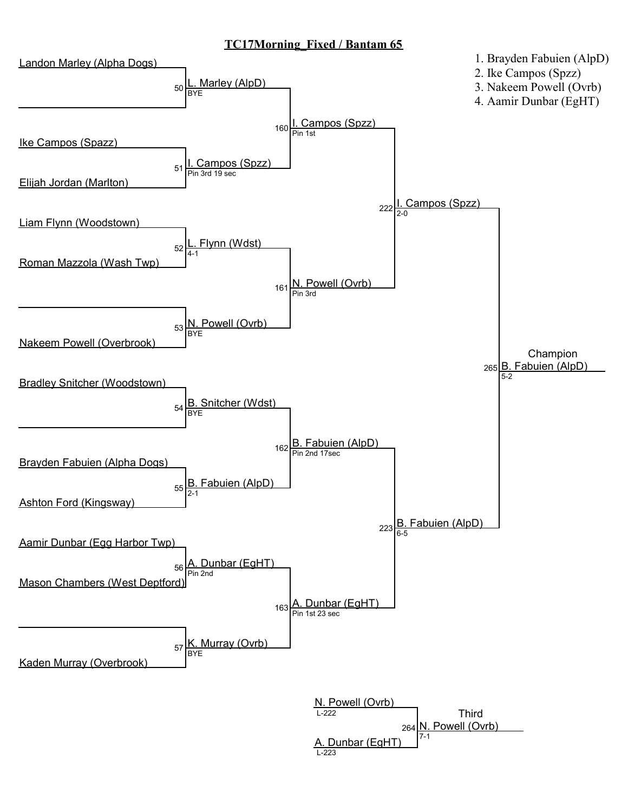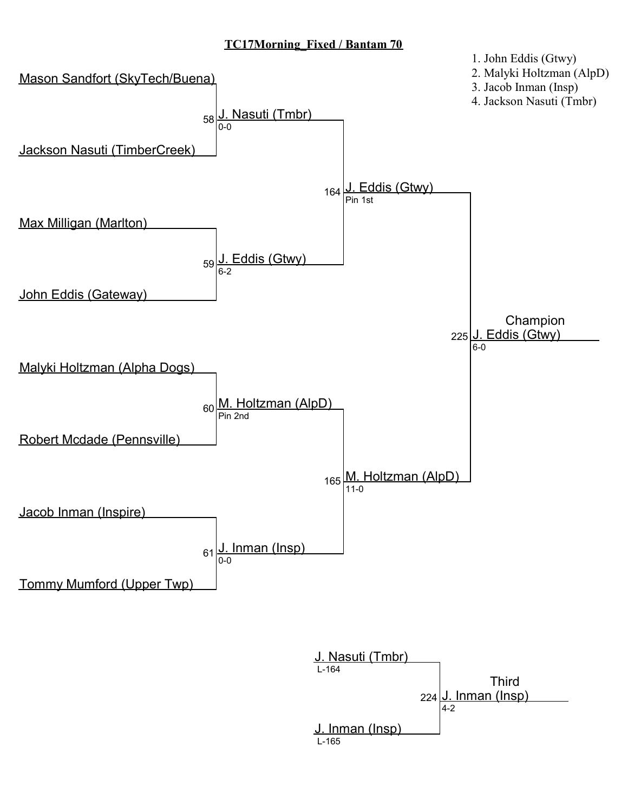

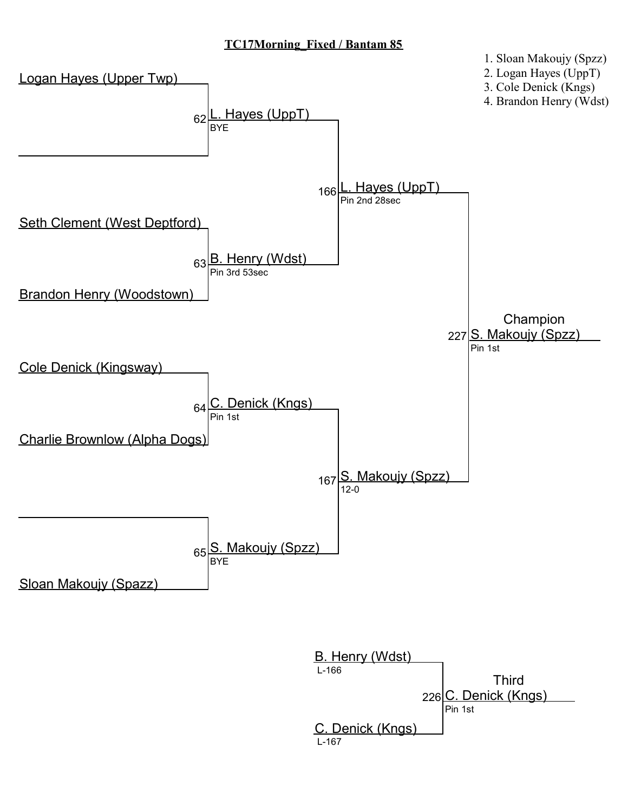

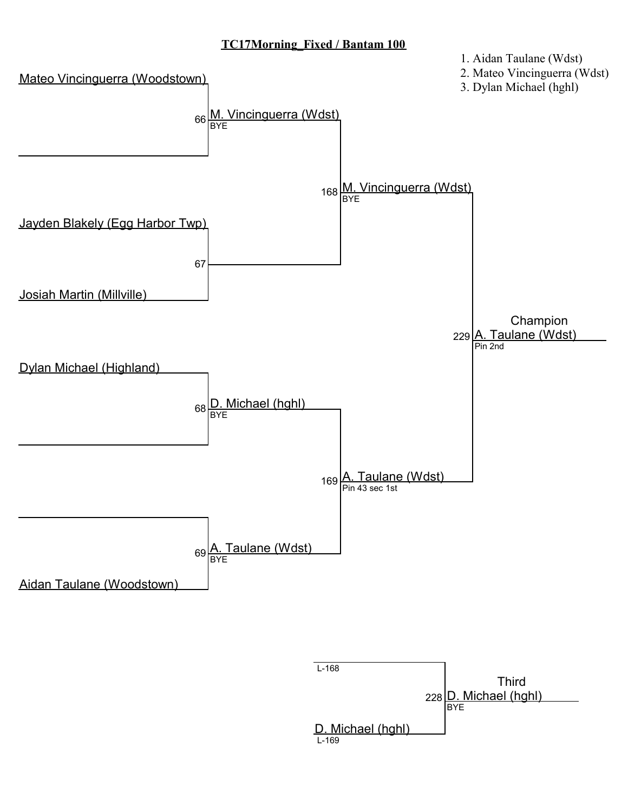

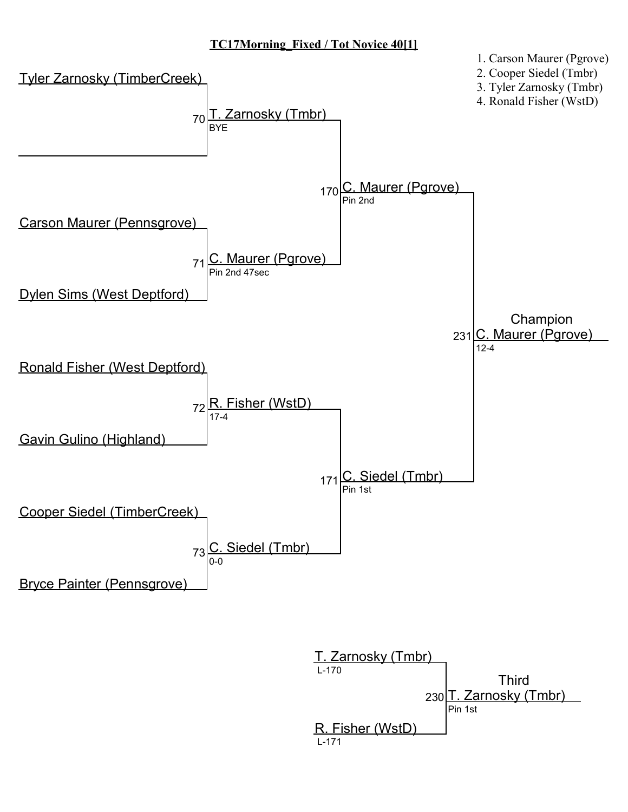# TC17Morning\_Fixed / Tot Novice 40[1]



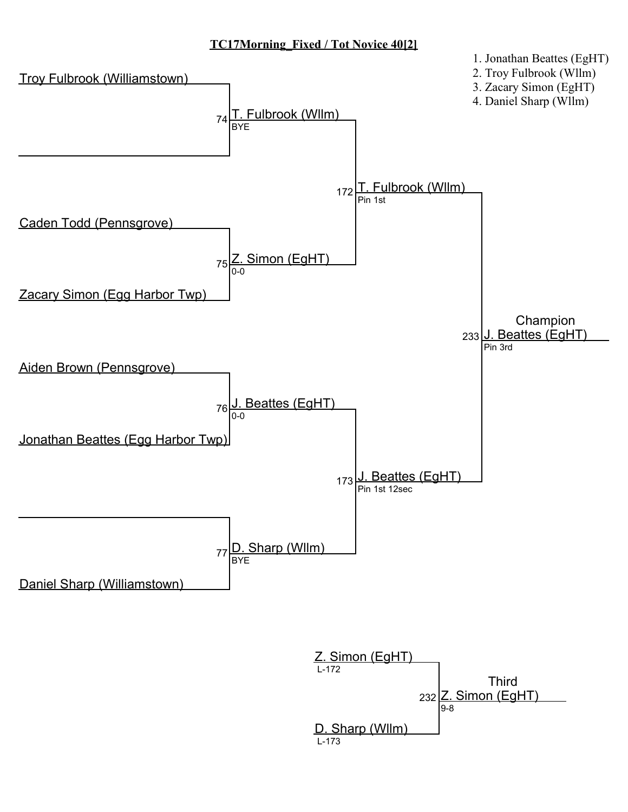## TC17Morning\_Fixed / Tot Novice 40[2]



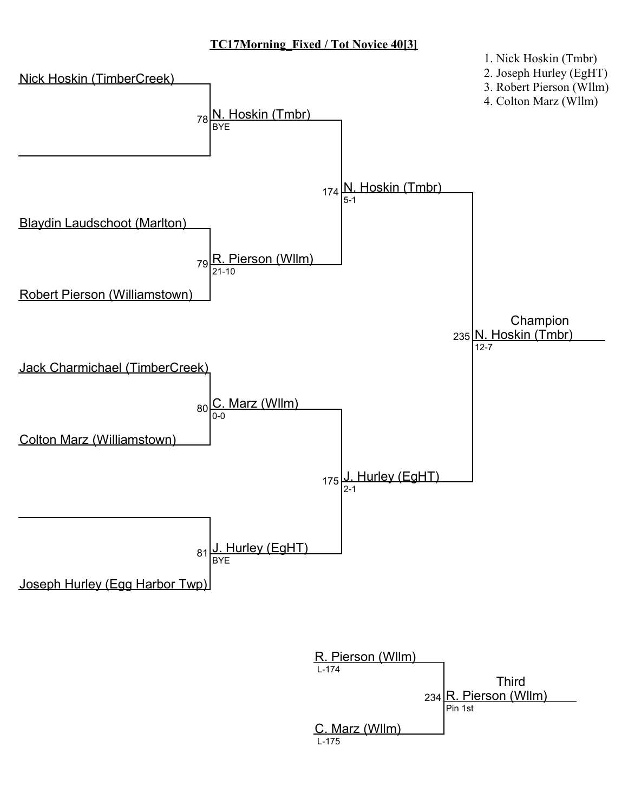## TC17Morning\_Fixed / Tot Novice 40[3]



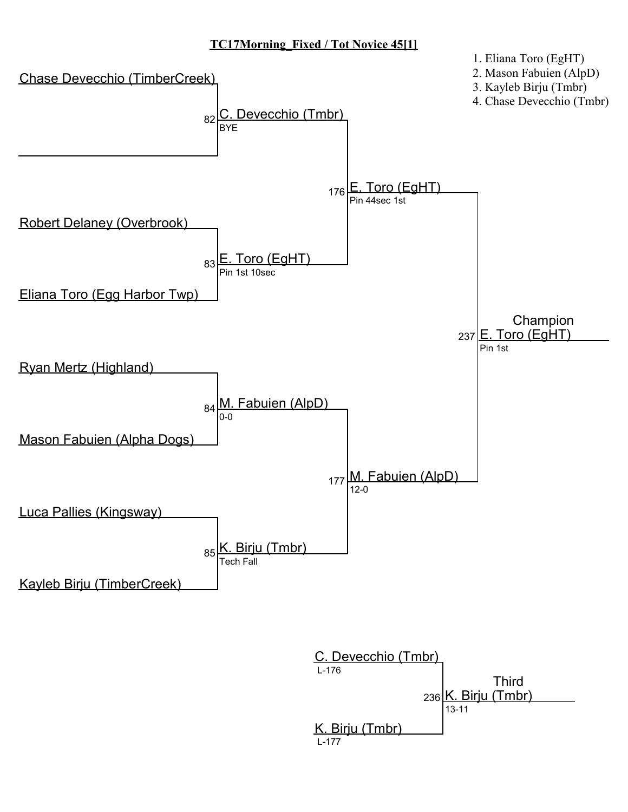# TC17Morning\_Fixed / Tot Novice 45[1]



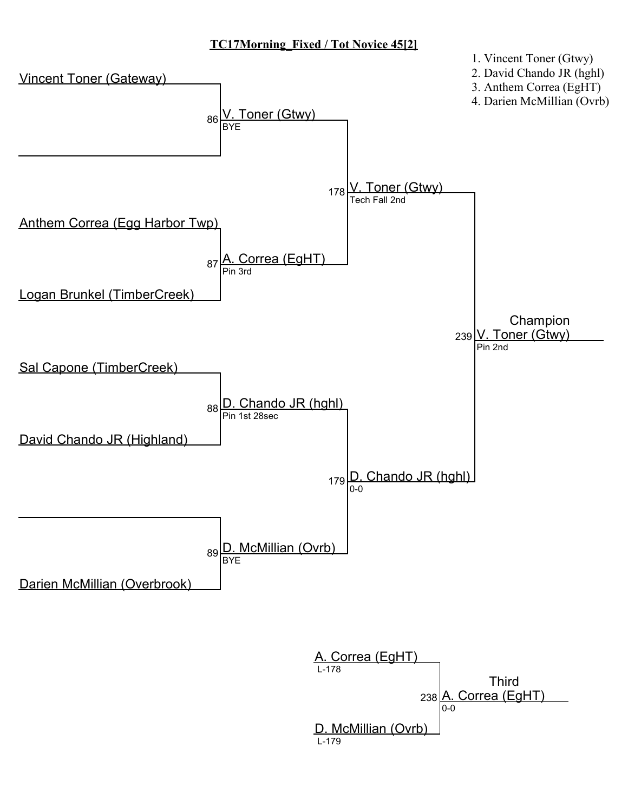## TC17Morning\_Fixed / Tot Novice 45[2]



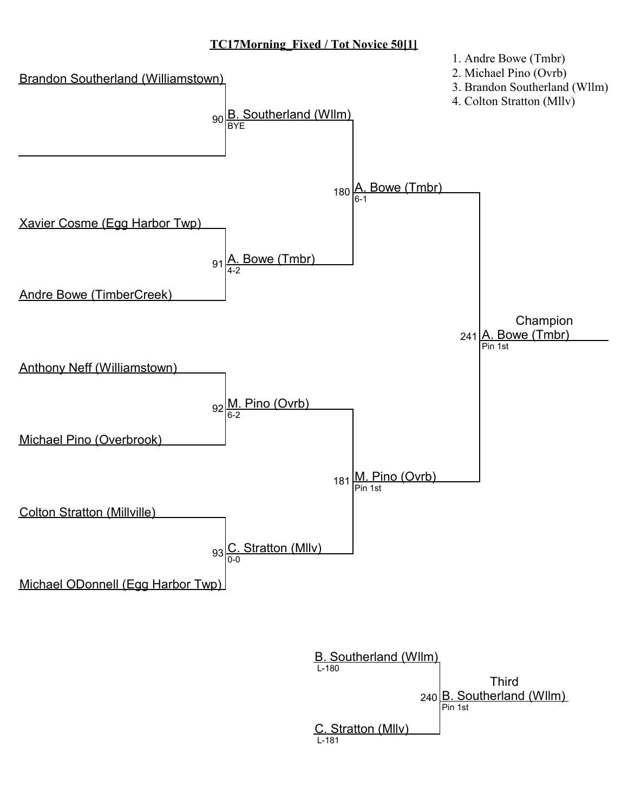#### TC17Morning\_Fixed / Tot Novice 50[1]



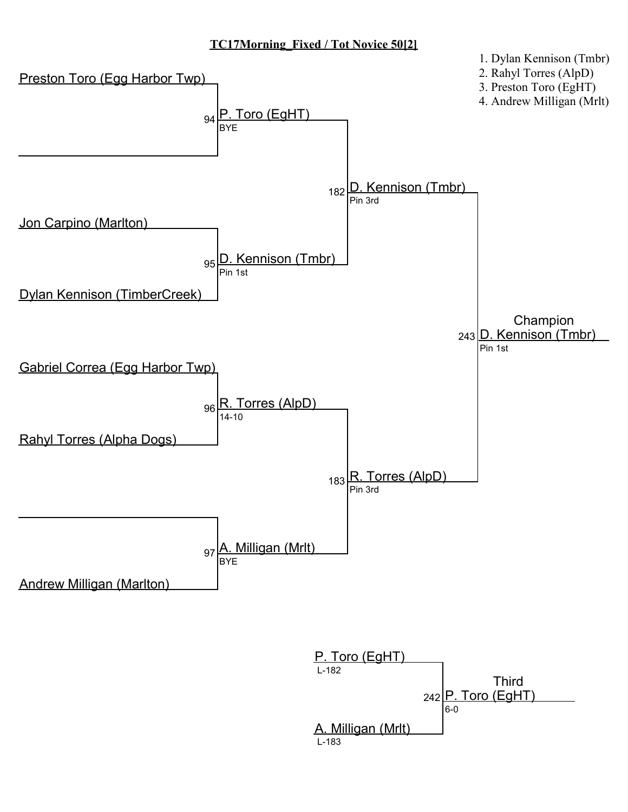## TC17Morning\_Fixed / Tot Novice 50[2]



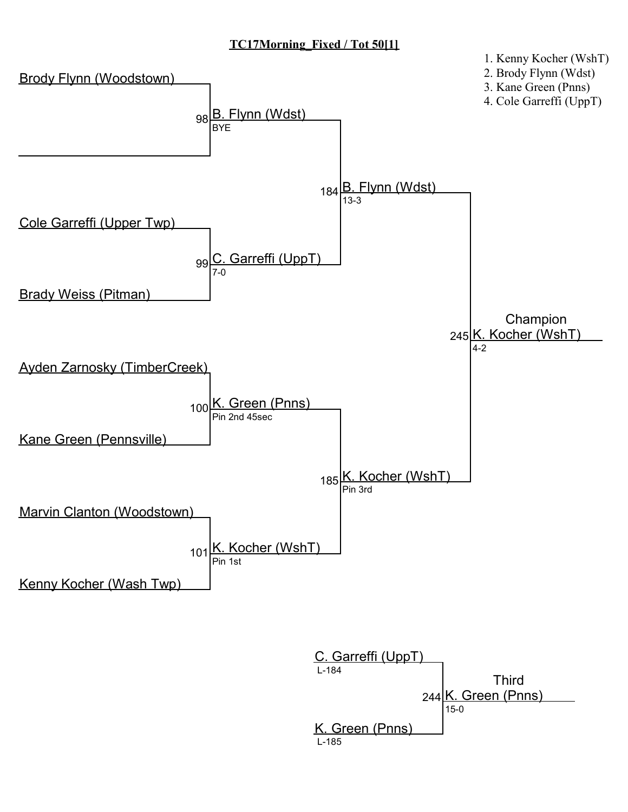# TC17Morning\_Fixed / Tot 50[1]



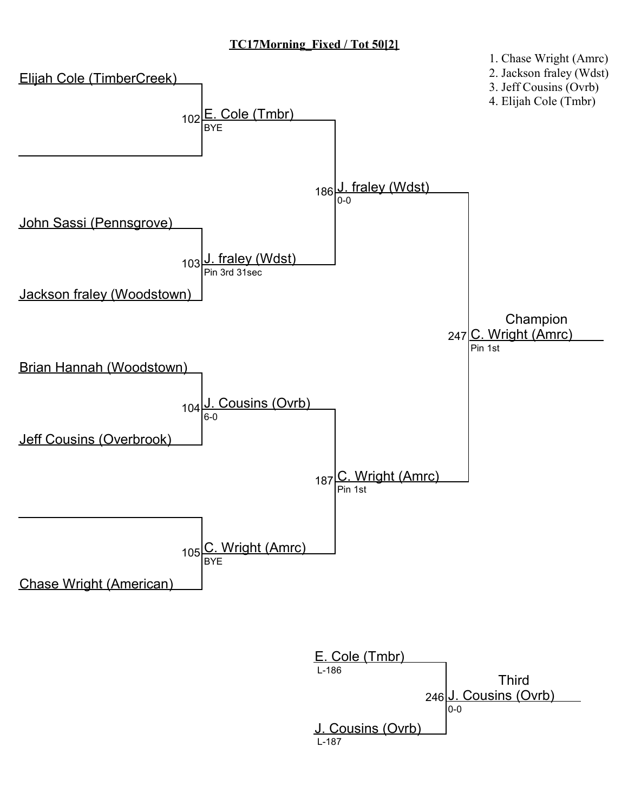# TC17Morning\_Fixed / Tot 50[2]



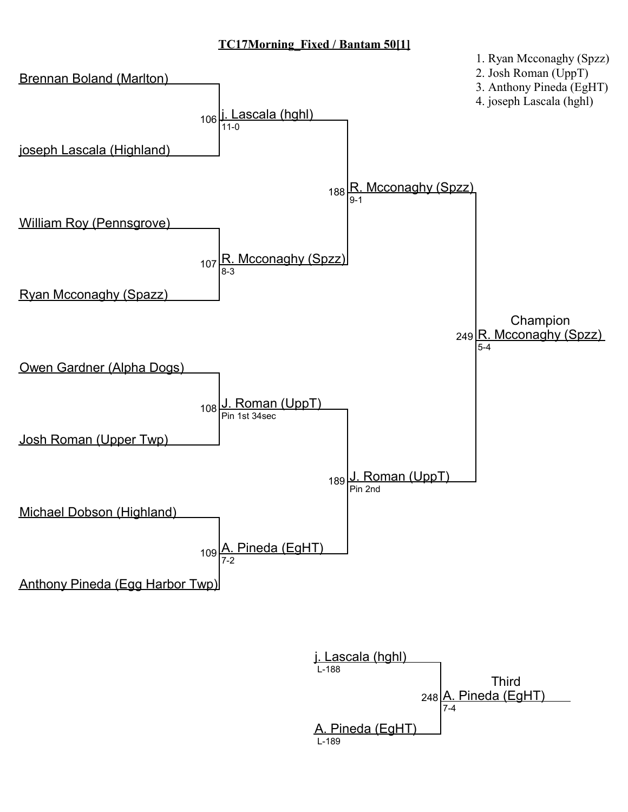## TC17Morning\_Fixed / Bantam 50[1]



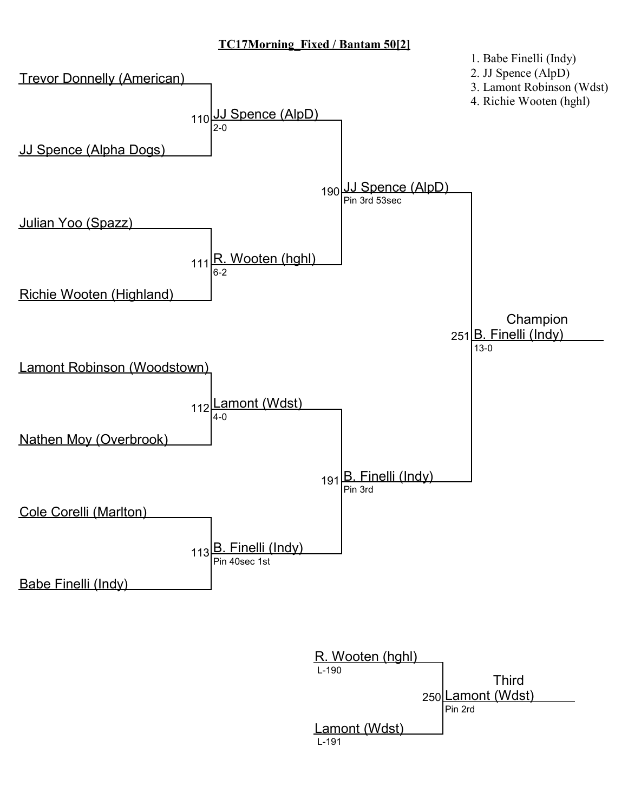# TC17Morning\_Fixed / Bantam 50[2]



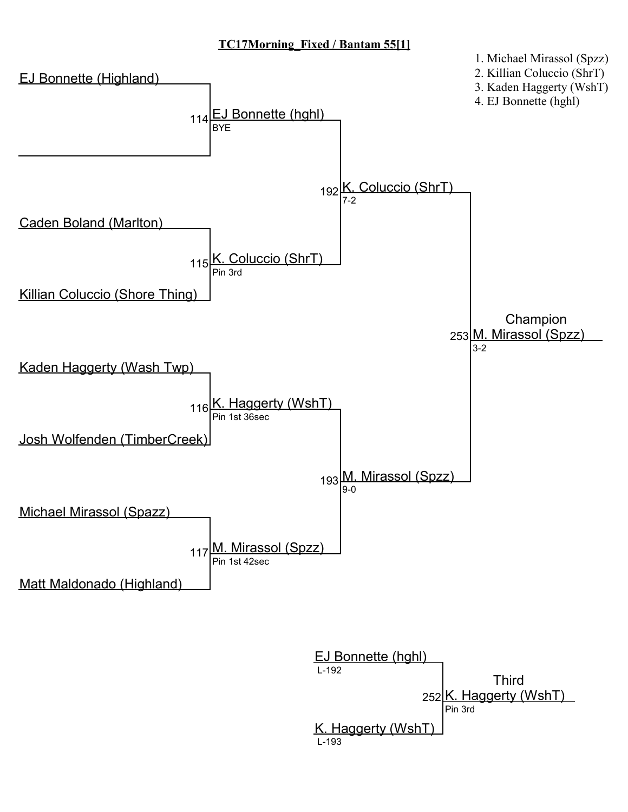## TC17Morning\_Fixed / Bantam 55[1]



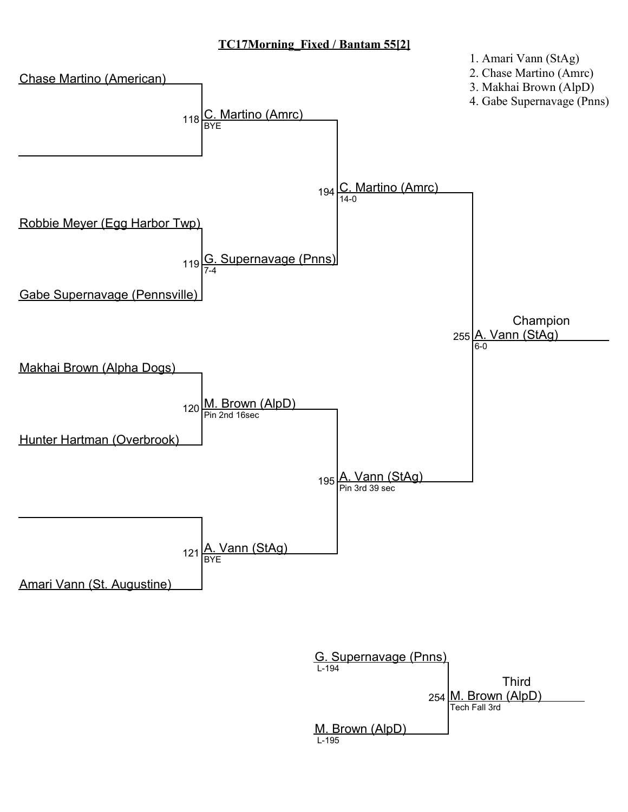## TC17Morning\_Fixed / Bantam 55[2]



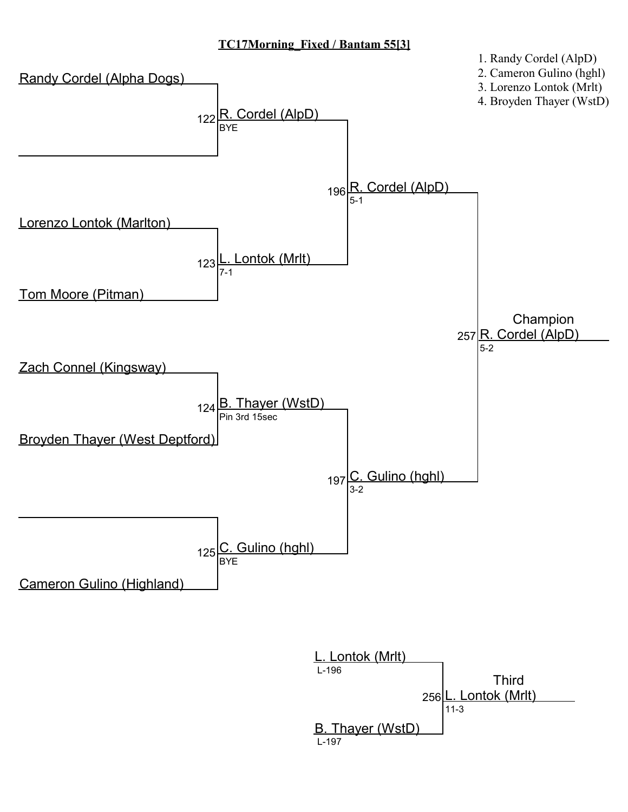## TC17Morning\_Fixed / Bantam 55[3]



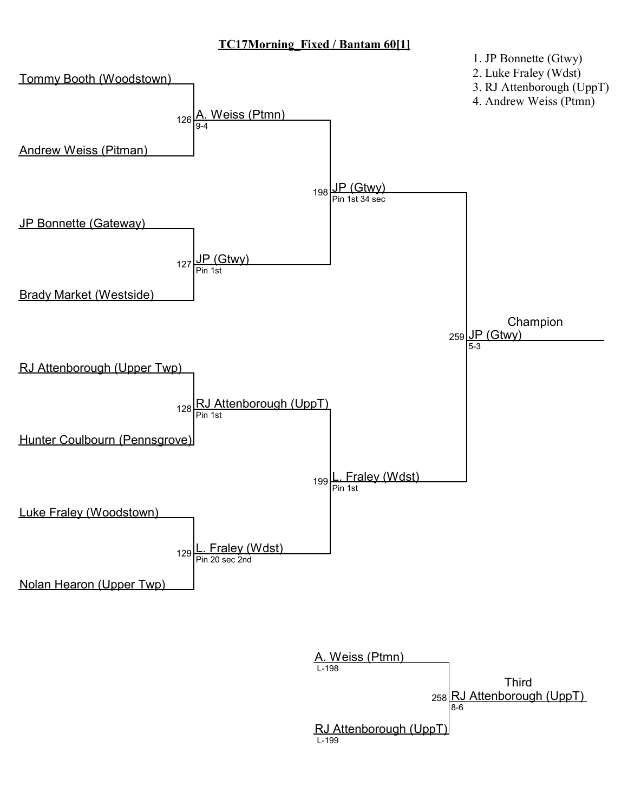## TC17Morning\_Fixed / Bantam 60[1]



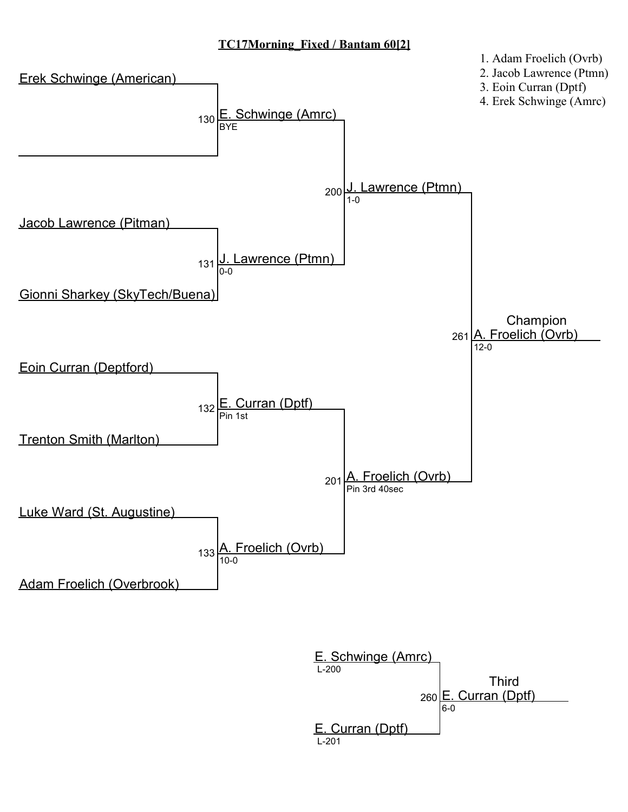## TC17Morning\_Fixed / Bantam 60[2]



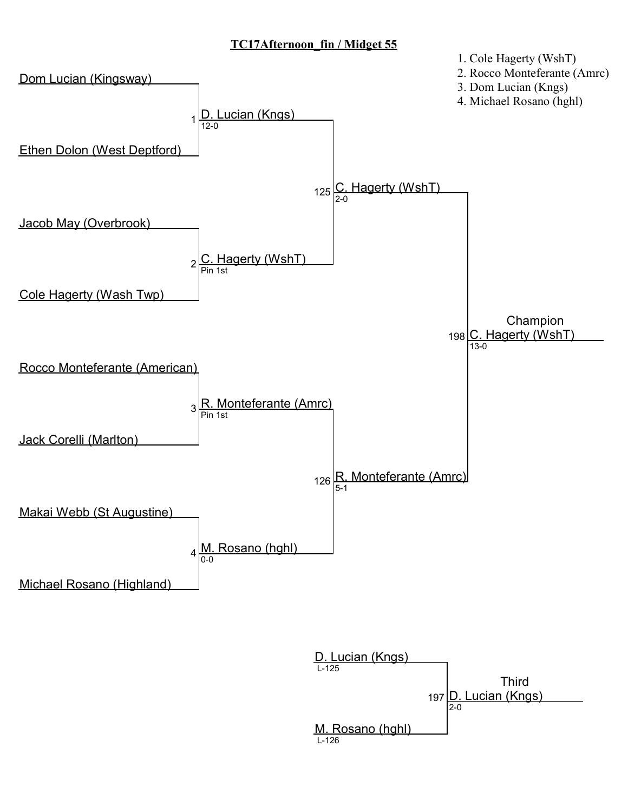

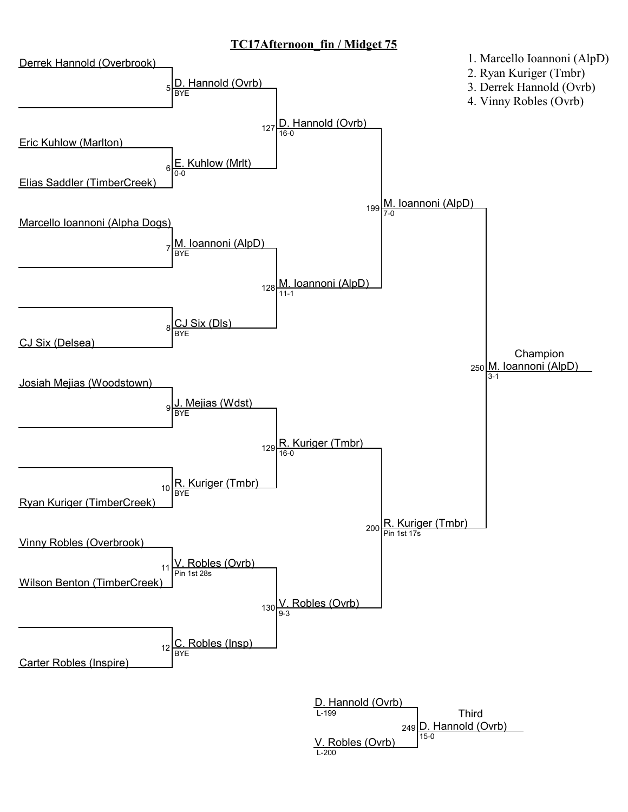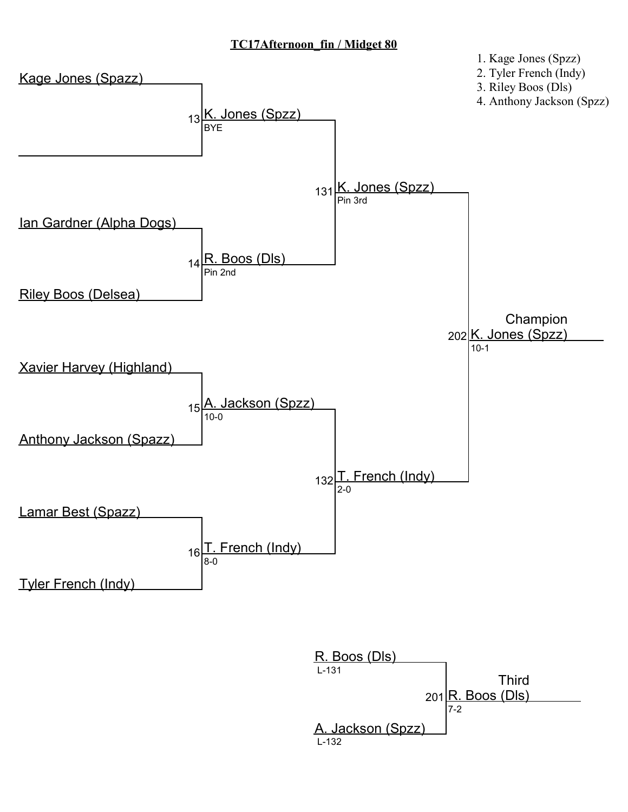

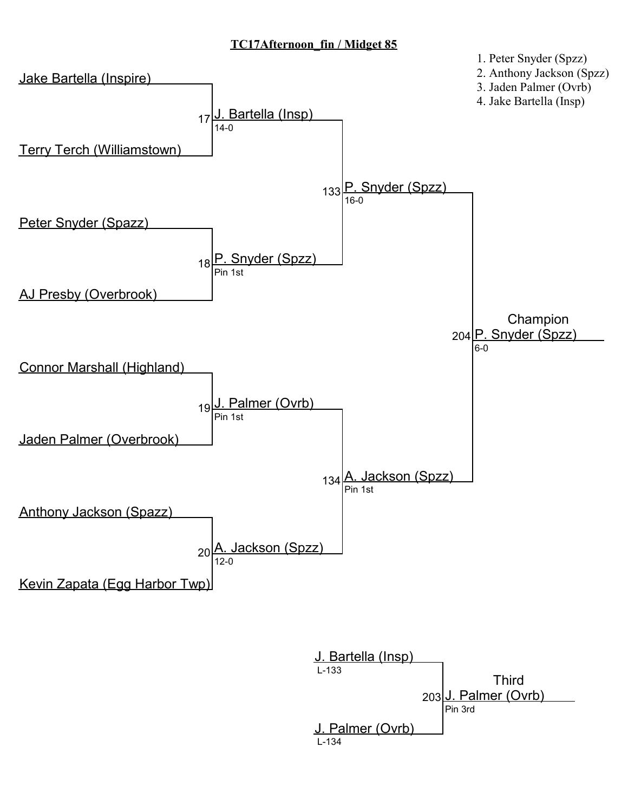

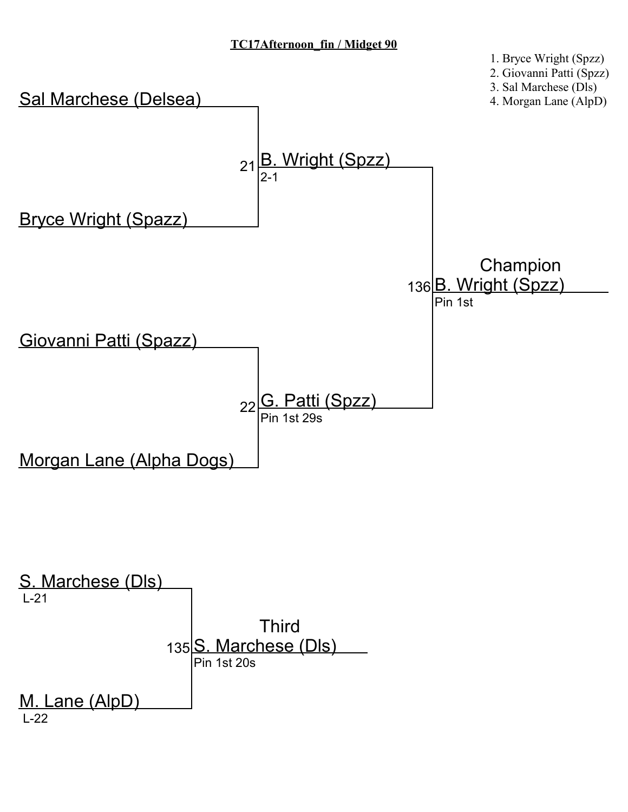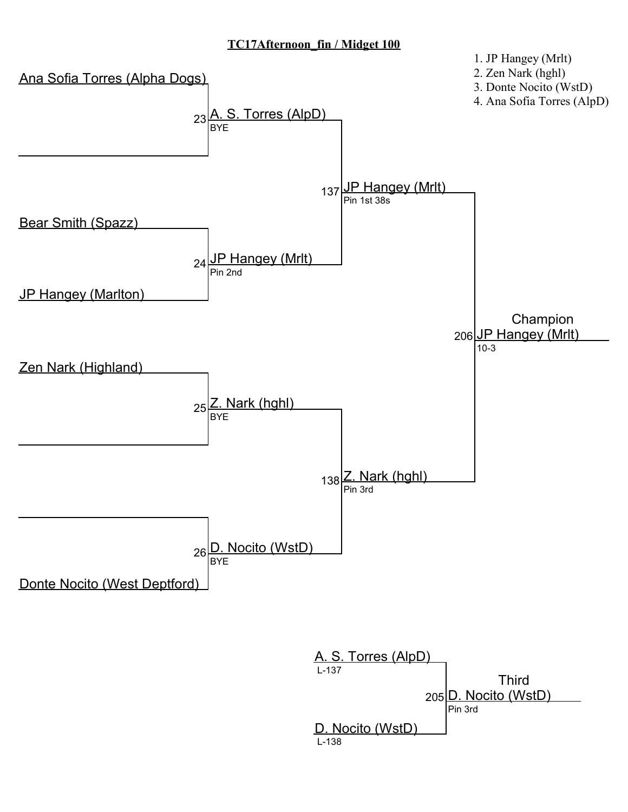

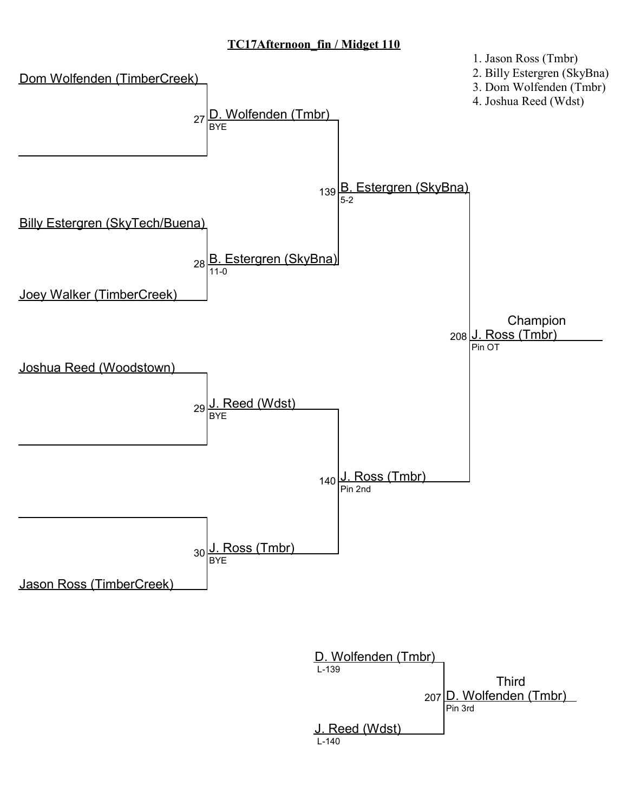

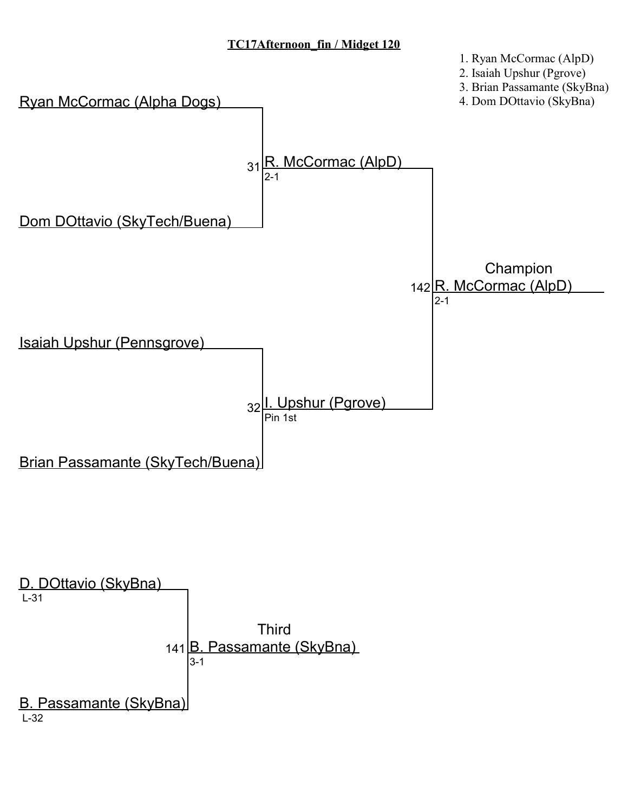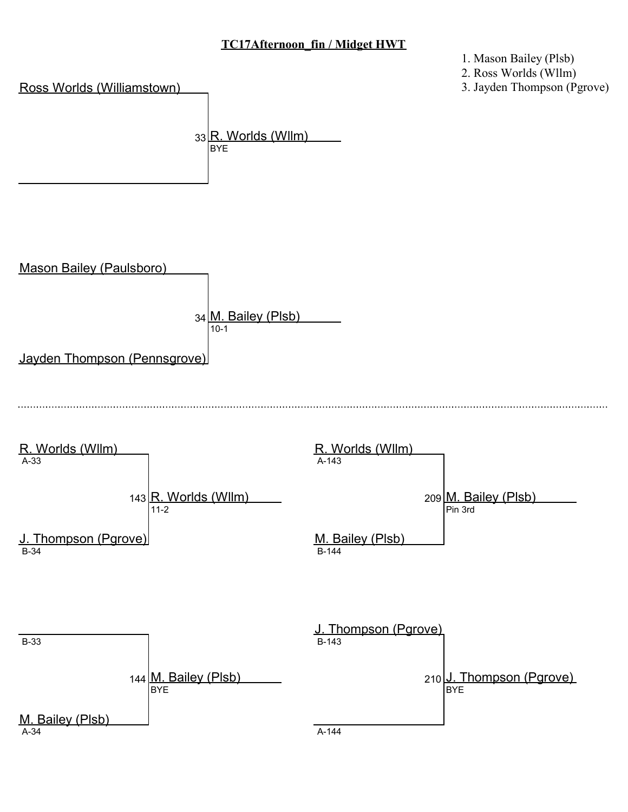1. Mason Bailey (Plsb)

2. Ross Worlds (Wllm)

3. Jayden Thompson (Pgrove)

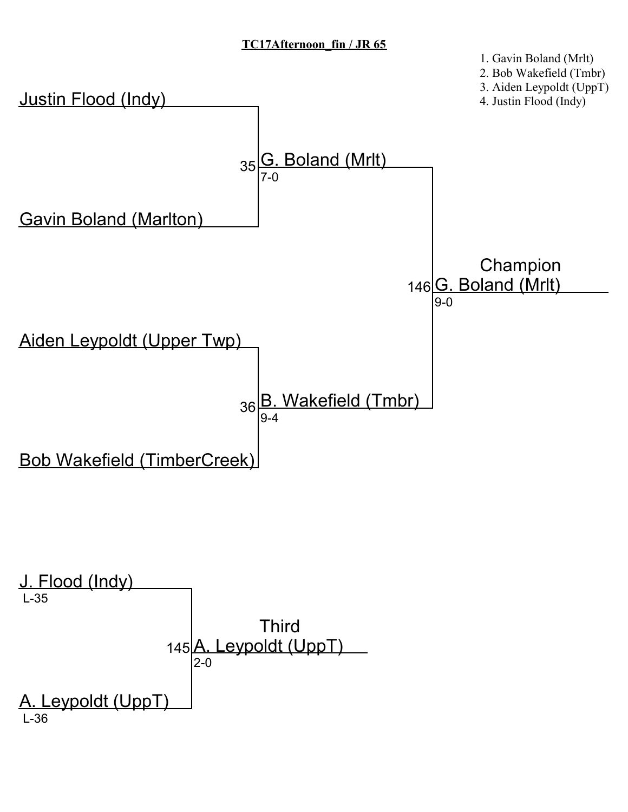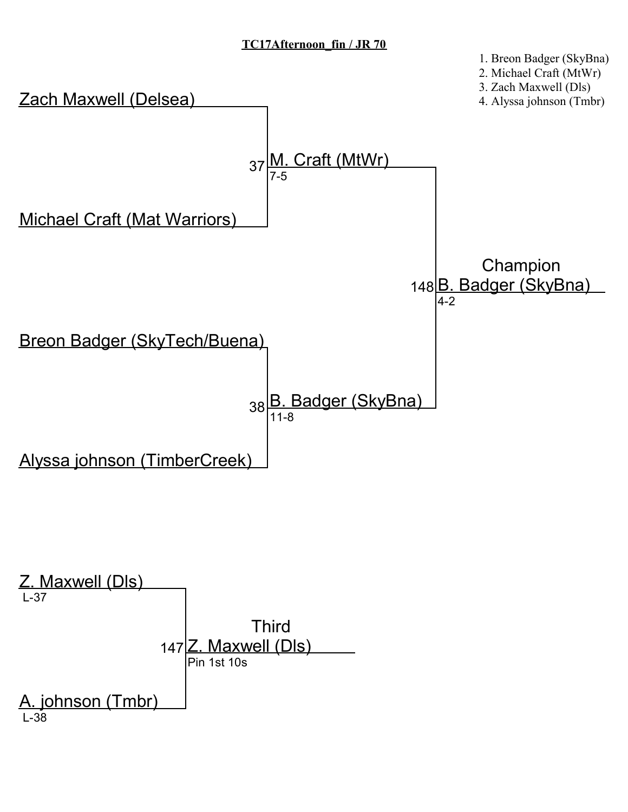1. Breon Badger (SkyBna)

Zach Maxwell (Delsea) Michael Craft (Mat Warriors) 37 Breon Badger (SkyTech/Buena) Alyssa johnson (TimberCreek) 38 <mark>B. Badger (SkyBna)</mark> <u>Craft (MtWr</u> 7-5 11-8 148**B. Badger (SkyBna)** Champion 4-2 Z. Maxwell (Dls) L-37 2. Michael Craft (MtWr) 3. Zach Maxwell (Dls) 4. Alyssa johnson (Tmbr)

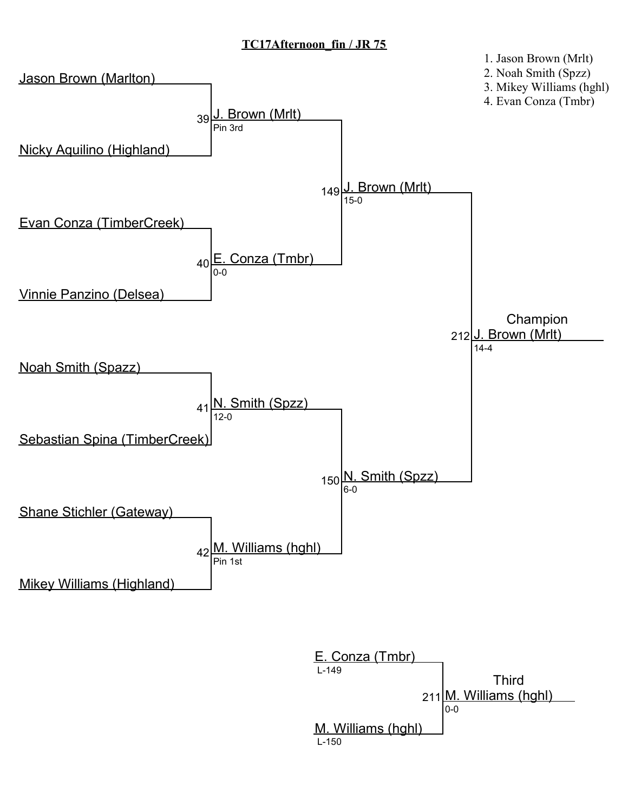

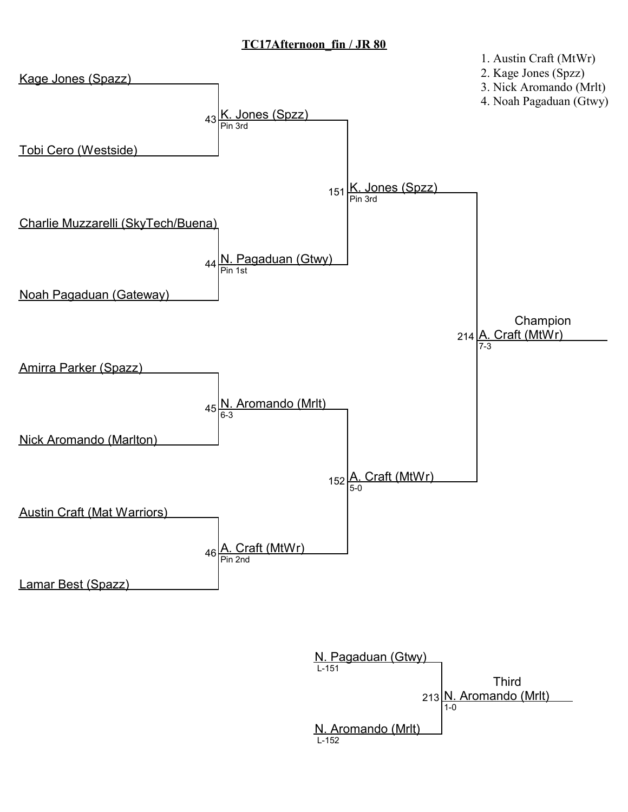

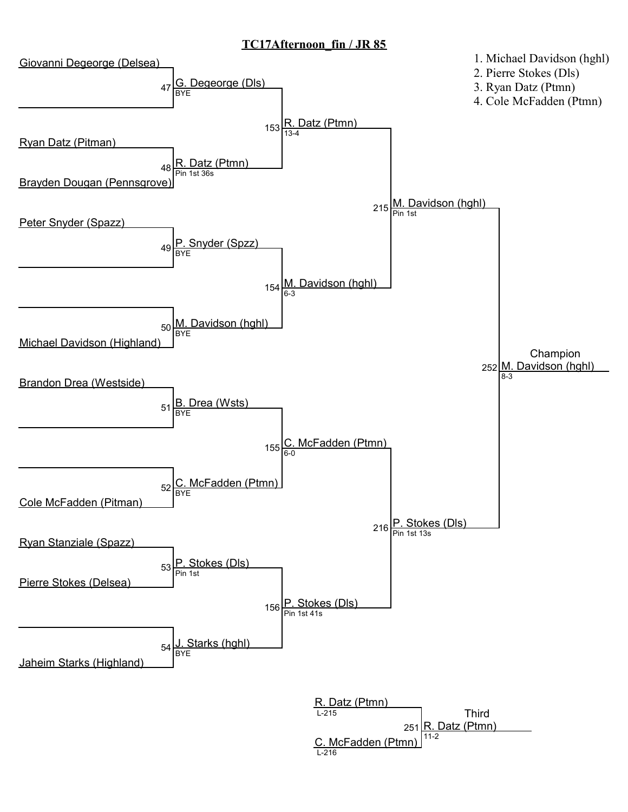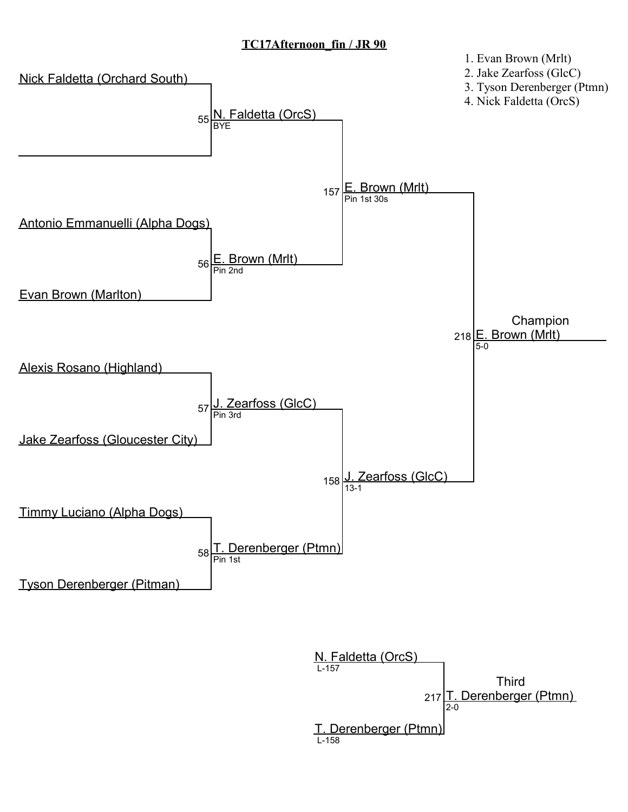

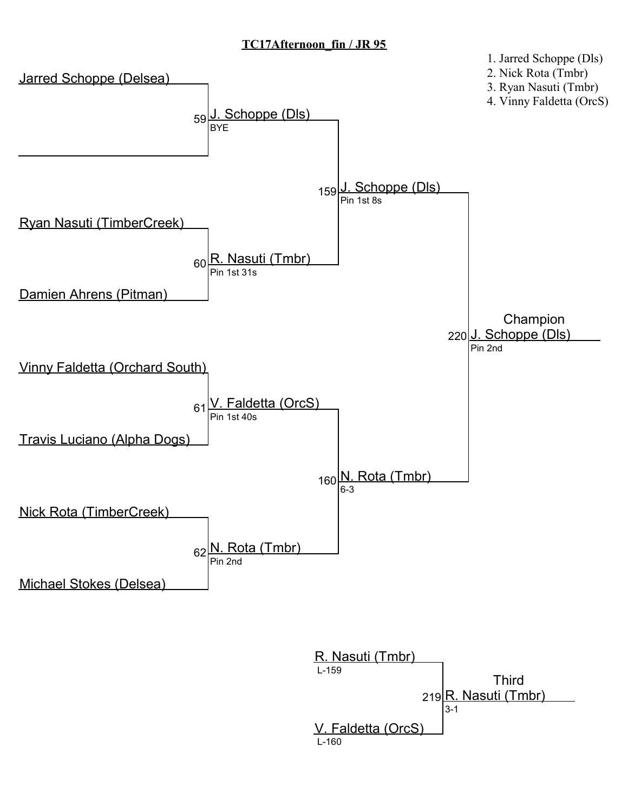

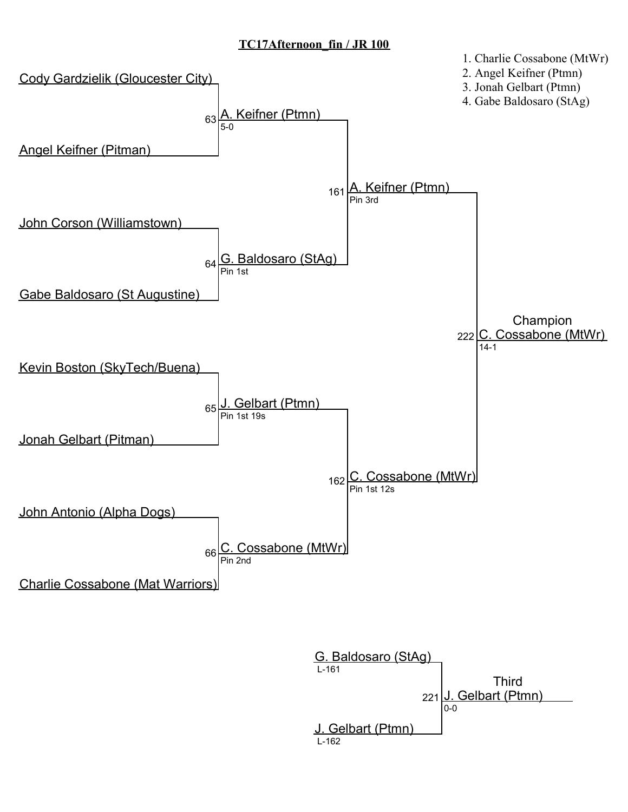

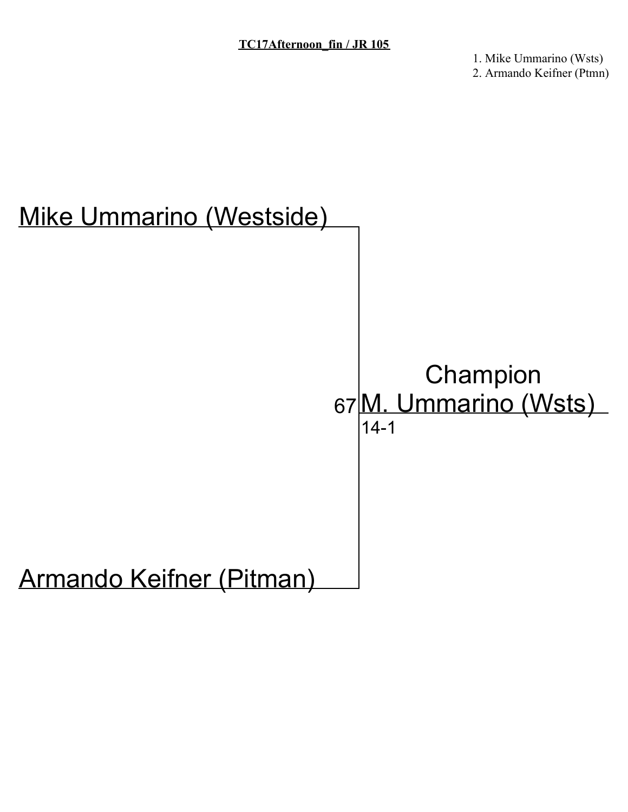1. Mike Ummarino (Wsts) 2. Armando Keifner (Ptmn)

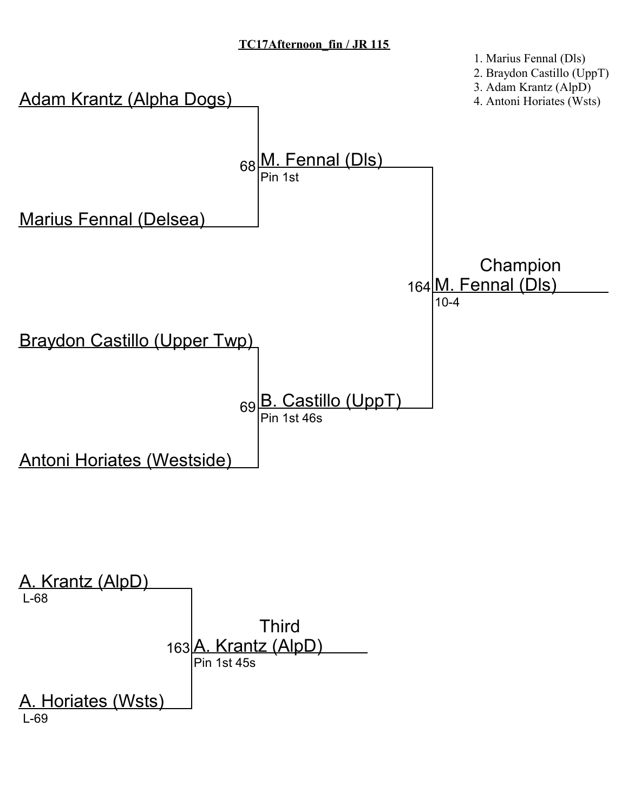

A. Horiates (Wsts) L-69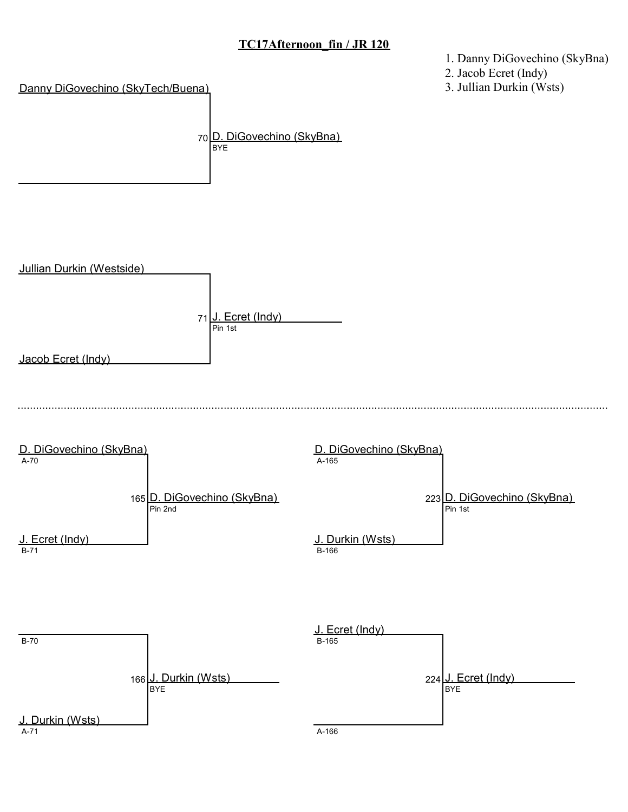1. Danny DiGovechino (SkyBna)

2. Jacob Ecret (Indy)

3. Jullian Durkin (Wsts)

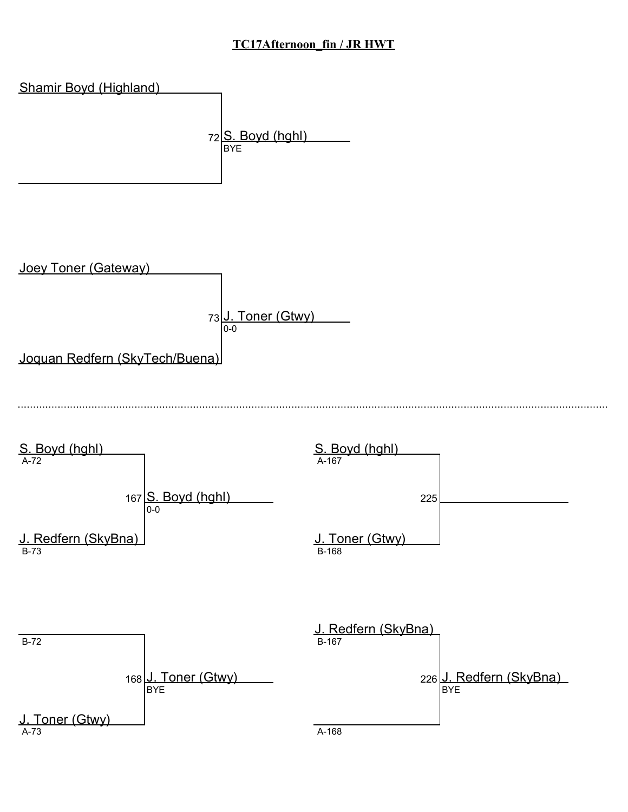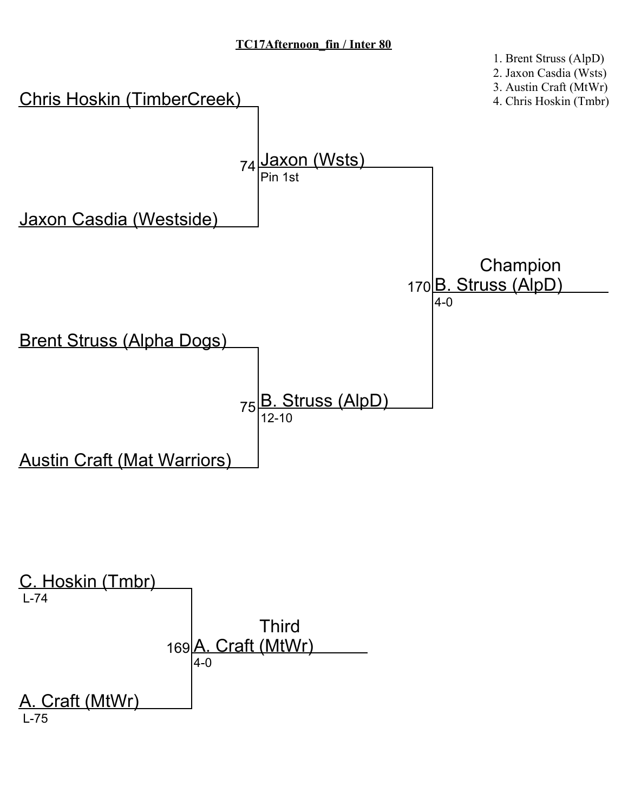

2. Jaxon Casdia (Wsts)

3. Austin Craft (MtWr)

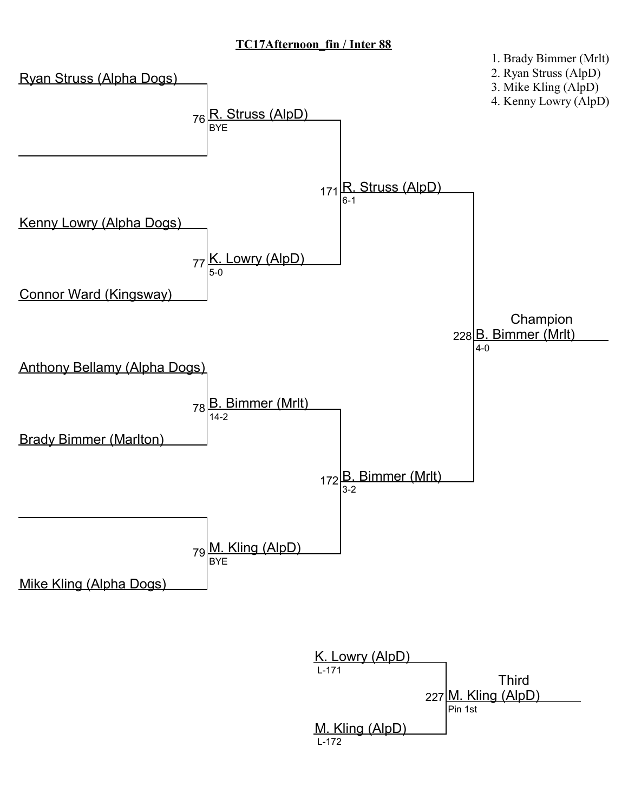

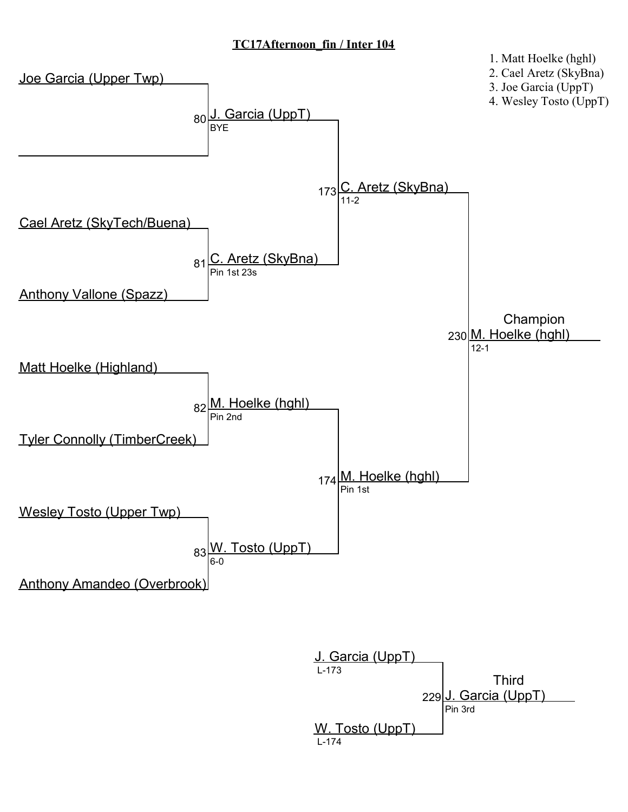

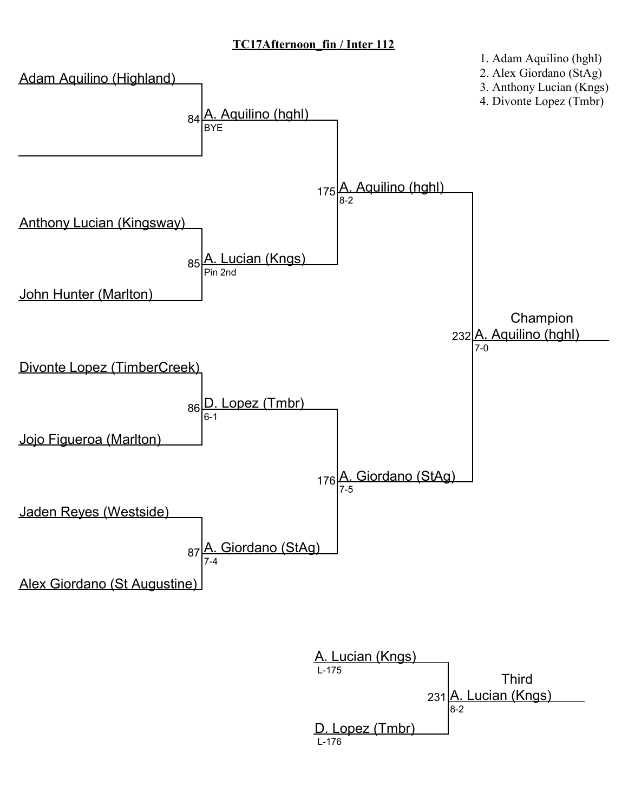

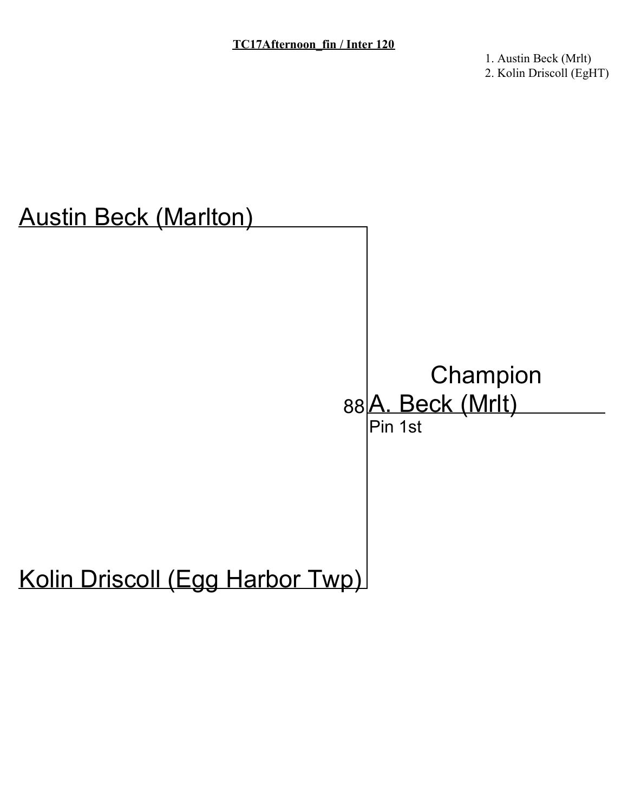1. Austin Beck (Mrlt) 2. Kolin Driscoll (EgHT)

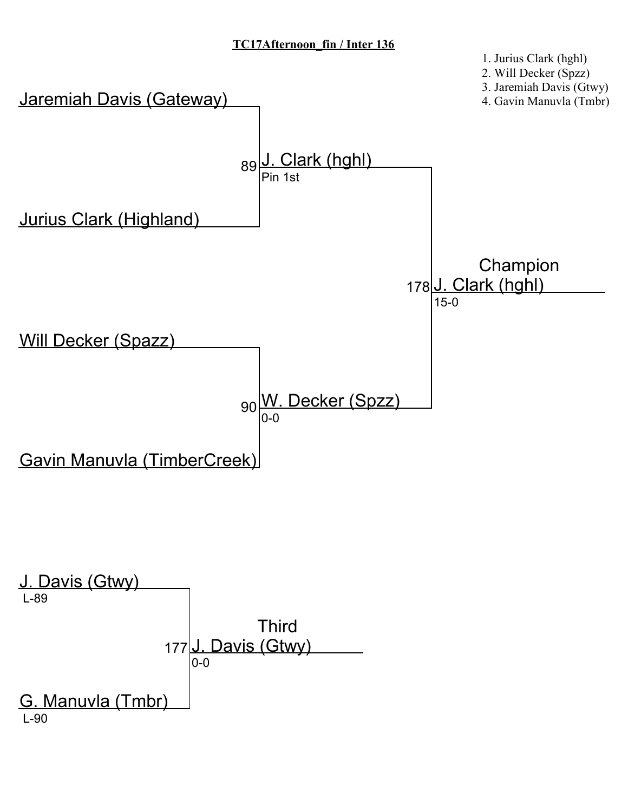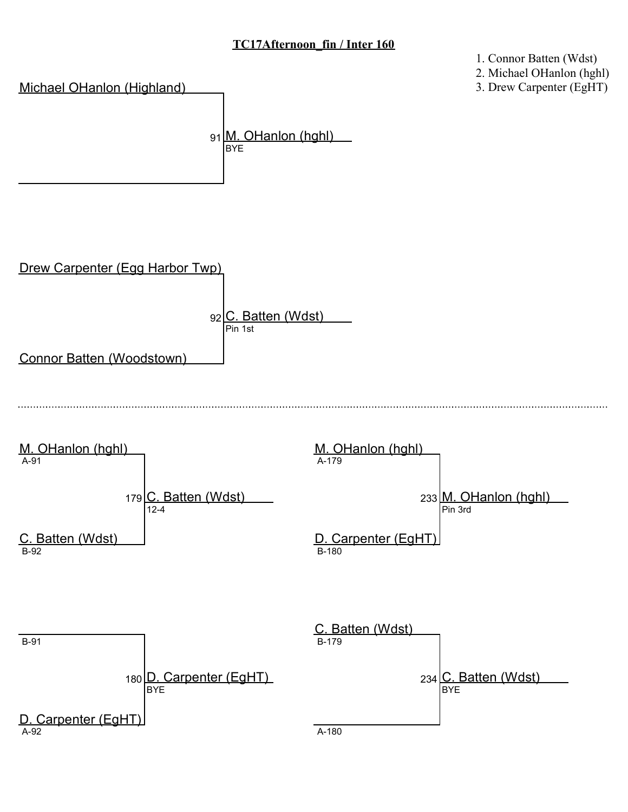1. Connor Batten (Wdst)



3. Drew Carpenter (EgHT)

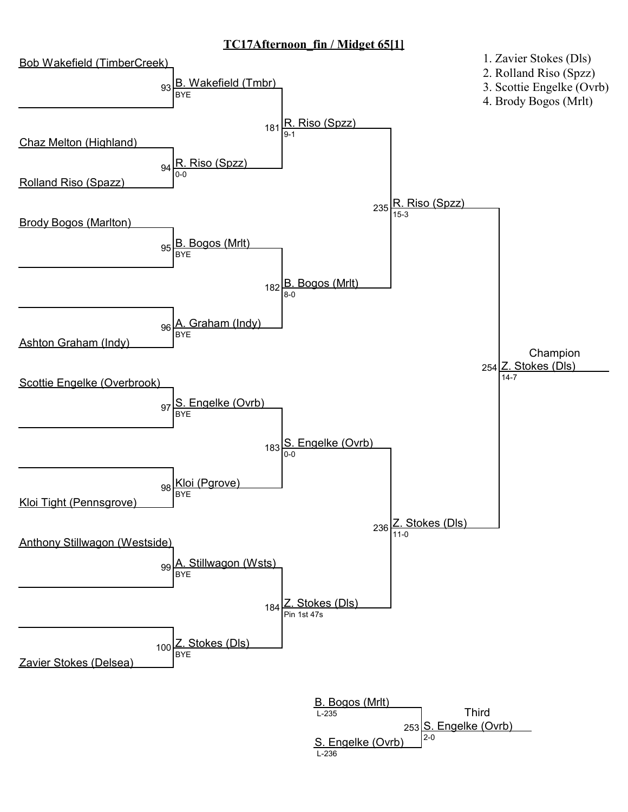#### TC17Afternoon\_fin / Midget 65[1]

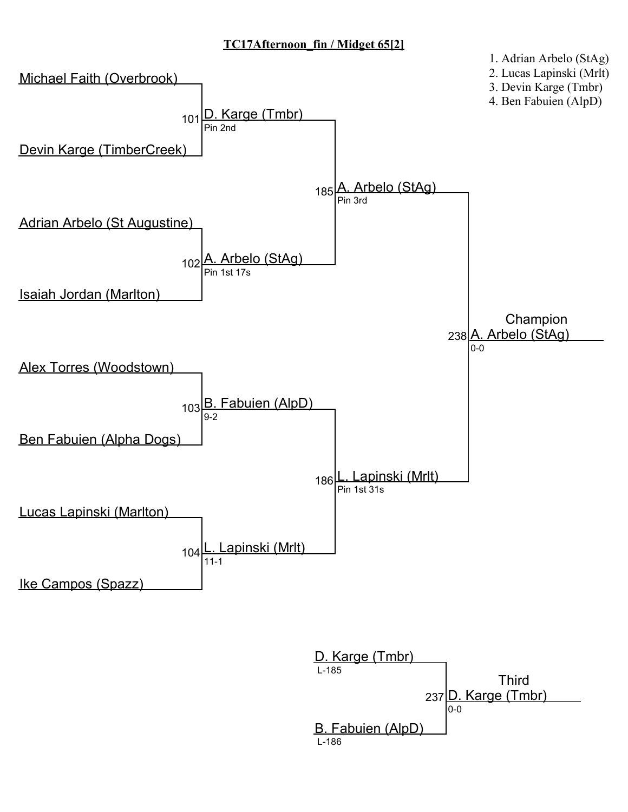# TC17Afternoon\_fin / Midget 65[2]



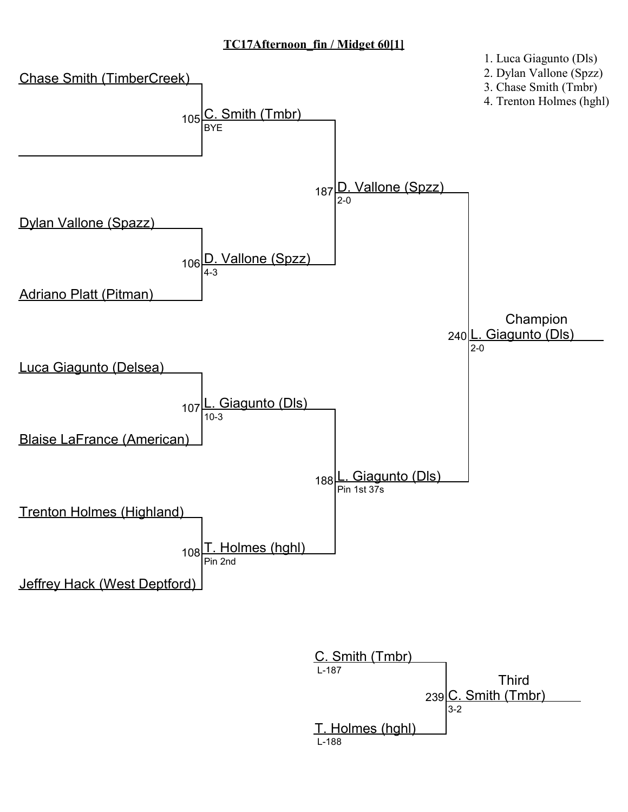## TC17Afternoon\_fin / Midget 60[1]



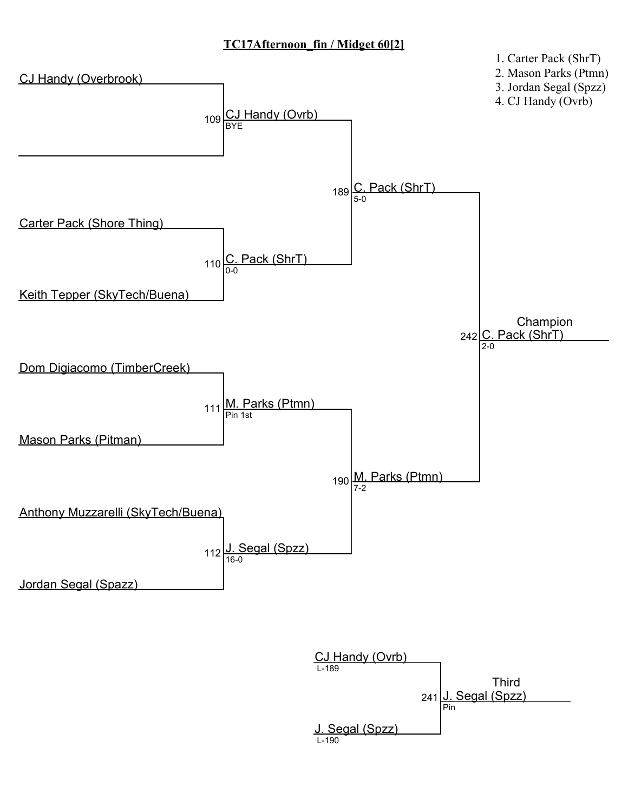## TC17Afternoon\_fin / Midget 60[2]



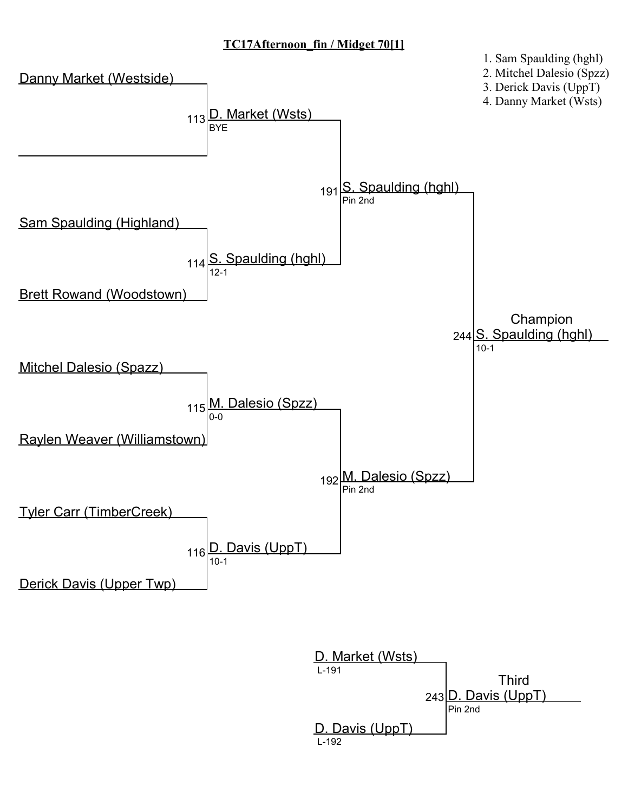# TC17Afternoon\_fin / Midget 70[1]



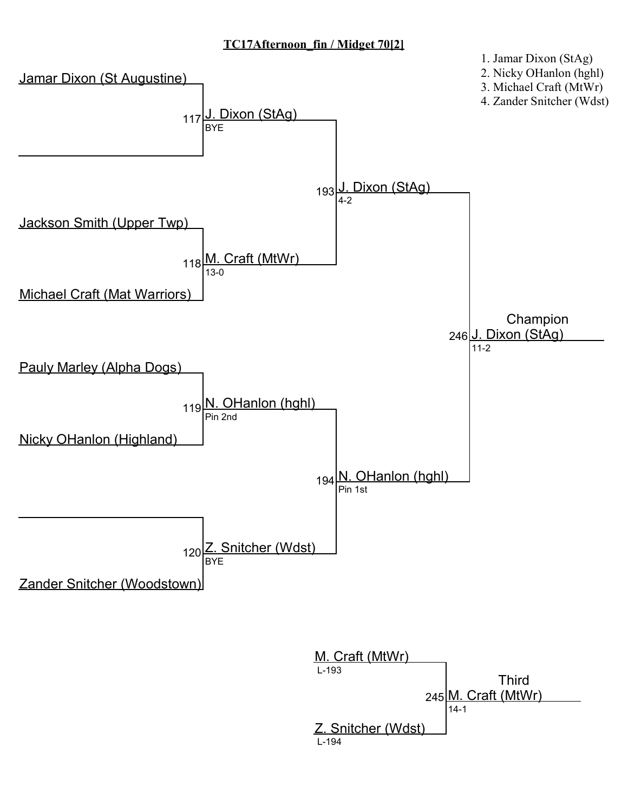## TC17Afternoon\_fin / Midget 70[2]